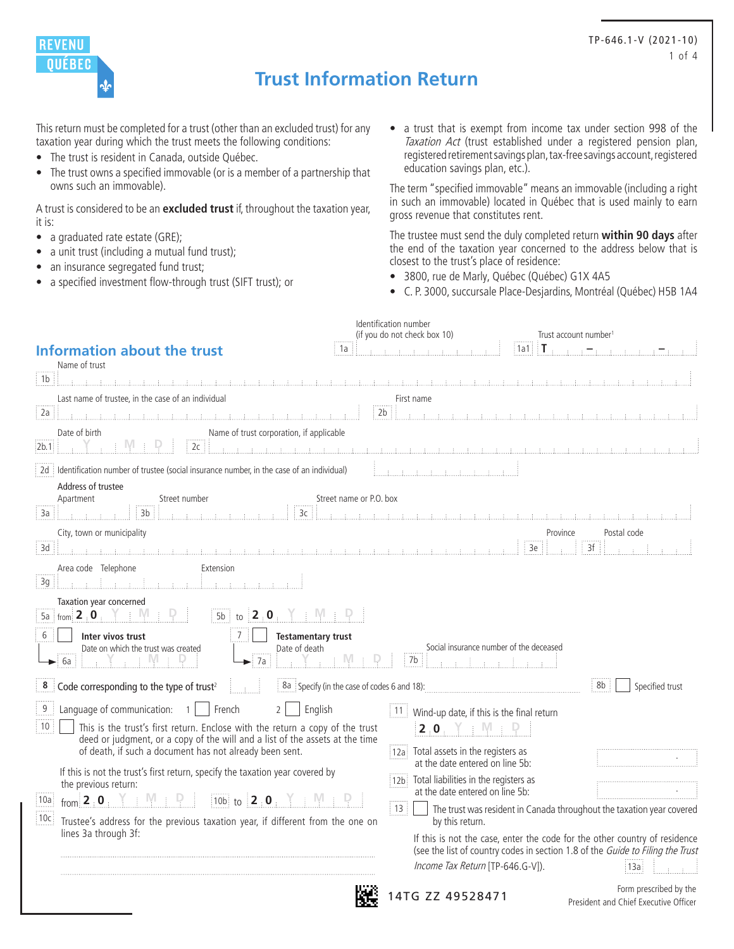

# **Trust Information Return**

This return must be completed for a trust (other than an excluded trust) for any taxation year during which the trust meets the following conditions:

- The trust is resident in Canada, outside Québec.
- The trust owns a specified immovable (or is a member of a partnership that owns such an immovable).

A trust is considered to be an **excluded trust** if, throughout the taxation year, it is:

- a graduated rate estate (GRE);
- a unit trust (including a mutual fund trust);
- an insurance segregated fund trust;
- a specified investment flow-through trust (SIFT trust); or

• a trust that is exempt from income tax under section 998 of the Taxation Act (trust established under a registered pension plan, registered retirement savings plan, tax-free savings account, registered education savings plan, etc.).

The term "specified immovable" means an immovable (including a right in such an immovable) located in Québec that is used mainly to earn gross revenue that constitutes rent.

The trustee must send the duly completed return **within 90 days** after the end of the taxation year concerned to the address below that is closest to the trust's place of residence:

- 3800, rue de Marly, Québec (Québec) G1X 4A5
- C. P. 3000, succursale Place-Desjardins, Montréal (Québec) H5B 1A4

| <b>Information about the trust</b>                                                                                                                                                                                                                                                                                                                                                                                                                                                                                                                                                                                                                         | Identification number<br>(if you do not check box 10)<br>Trust account number<br>$\parallel$ T .<br>1a1:<br>1a                                                                                                                                                                                                                                                                                                                                                                                                                                                       |
|------------------------------------------------------------------------------------------------------------------------------------------------------------------------------------------------------------------------------------------------------------------------------------------------------------------------------------------------------------------------------------------------------------------------------------------------------------------------------------------------------------------------------------------------------------------------------------------------------------------------------------------------------------|----------------------------------------------------------------------------------------------------------------------------------------------------------------------------------------------------------------------------------------------------------------------------------------------------------------------------------------------------------------------------------------------------------------------------------------------------------------------------------------------------------------------------------------------------------------------|
| Name of trust                                                                                                                                                                                                                                                                                                                                                                                                                                                                                                                                                                                                                                              |                                                                                                                                                                                                                                                                                                                                                                                                                                                                                                                                                                      |
| i 1b                                                                                                                                                                                                                                                                                                                                                                                                                                                                                                                                                                                                                                                       |                                                                                                                                                                                                                                                                                                                                                                                                                                                                                                                                                                      |
| Last name of trustee, in the case of an individual<br>2a                                                                                                                                                                                                                                                                                                                                                                                                                                                                                                                                                                                                   | First name<br>2 <sub>b</sub>                                                                                                                                                                                                                                                                                                                                                                                                                                                                                                                                         |
| Date of birth<br>Name of trust corporation, if applicable<br>2c<br>2b.1                                                                                                                                                                                                                                                                                                                                                                                                                                                                                                                                                                                    |                                                                                                                                                                                                                                                                                                                                                                                                                                                                                                                                                                      |
| 2d dentification number of trustee (social insurance number, in the case of an individual)                                                                                                                                                                                                                                                                                                                                                                                                                                                                                                                                                                 | $\mathbf{f}(\mathbf{u},\mathbf{f},\mathbf{v},\mathbf{f},\mathbf{v},\mathbf{f},\mathbf{v},\mathbf{f},\mathbf{v},\mathbf{f},\mathbf{f},\mathbf{f},\mathbf{f},\mathbf{f},\mathbf{f},\mathbf{f},\mathbf{f},\mathbf{f},\mathbf{f},\mathbf{f},\mathbf{f},\mathbf{f},\mathbf{f},\mathbf{f},\mathbf{f},\mathbf{f},\mathbf{f},\mathbf{f},\mathbf{f},\mathbf{f},\mathbf{f},\mathbf{f},\mathbf{f},\mathbf{f},\mathbf{f},\mathbf{$                                                                                                                                               |
| Address of trustee<br>Street number<br>Apartment<br>3b<br>3a<br>3c                                                                                                                                                                                                                                                                                                                                                                                                                                                                                                                                                                                         | Street name or P.O. box                                                                                                                                                                                                                                                                                                                                                                                                                                                                                                                                              |
| City, town or municipality<br>3d                                                                                                                                                                                                                                                                                                                                                                                                                                                                                                                                                                                                                           | Province<br>Postal code<br>3f<br>3e                                                                                                                                                                                                                                                                                                                                                                                                                                                                                                                                  |
| Area code Telephone<br>Extension<br>3g                                                                                                                                                                                                                                                                                                                                                                                                                                                                                                                                                                                                                     |                                                                                                                                                                                                                                                                                                                                                                                                                                                                                                                                                                      |
| Taxation year concerned<br>5a $\frac{1}{2}$ from $\frac{2}{3}$ : 0<br>2.0<br>$5b$ :<br>to<br>6<br>Inter vivos trust<br>7<br><b>Testamentary trust</b><br>Date on which the trust was created<br>Date of death<br>IVI.<br>6a<br>7a                                                                                                                                                                                                                                                                                                                                                                                                                          | Social insurance number of the deceased<br>7b                                                                                                                                                                                                                                                                                                                                                                                                                                                                                                                        |
| 8 Code corresponding to the type of trust <sup>2</sup>                                                                                                                                                                                                                                                                                                                                                                                                                                                                                                                                                                                                     | 8b<br>8a Specify (in the case of codes 6 and 18):<br>Specified trust                                                                                                                                                                                                                                                                                                                                                                                                                                                                                                 |
| 9 <sup>1</sup><br>Language of communication:<br>English<br>French<br>$\mathcal{P}$<br>$\overline{1}$<br>10<br>This is the trust's first return. Enclose with the return a copy of the trust<br>deed or judgment, or a copy of the will and a list of the assets at the time<br>of death, if such a document has not already been sent.<br>If this is not the trust's first return, specify the taxation year covered by<br>the previous return:<br>$10b$ to $2 \cdot 0$ .<br>from $2 \cdot 0$ $\uparrow$ $\uparrow$ $\uparrow$<br> 10a <br> 10c <br>Trustee's address for the previous taxation year, if different from the one on<br>lines 3a through 3f: | 11  <br>Wind-up date, if this is the final return<br>20 Y M P<br>12a Total assets in the registers as<br>at the date entered on line 5b:<br>Total liabilities in the registers as<br>12 <sub>b</sub><br>at the date entered on line 5b:<br>$\frac{1}{2}$ 13<br>The trust was resident in Canada throughout the taxation year covered<br>by this return.<br>If this is not the case, enter the code for the other country of residence<br>(see the list of country codes in section 1.8 of the Guide to Filing the Trust<br>Income Tax Return [TP-646.G-V]).<br>i 13a |
|                                                                                                                                                                                                                                                                                                                                                                                                                                                                                                                                                                                                                                                            | Form prescribed by the<br>4TG ZZ 49528471<br>President and Chief Executive Officer                                                                                                                                                                                                                                                                                                                                                                                                                                                                                   |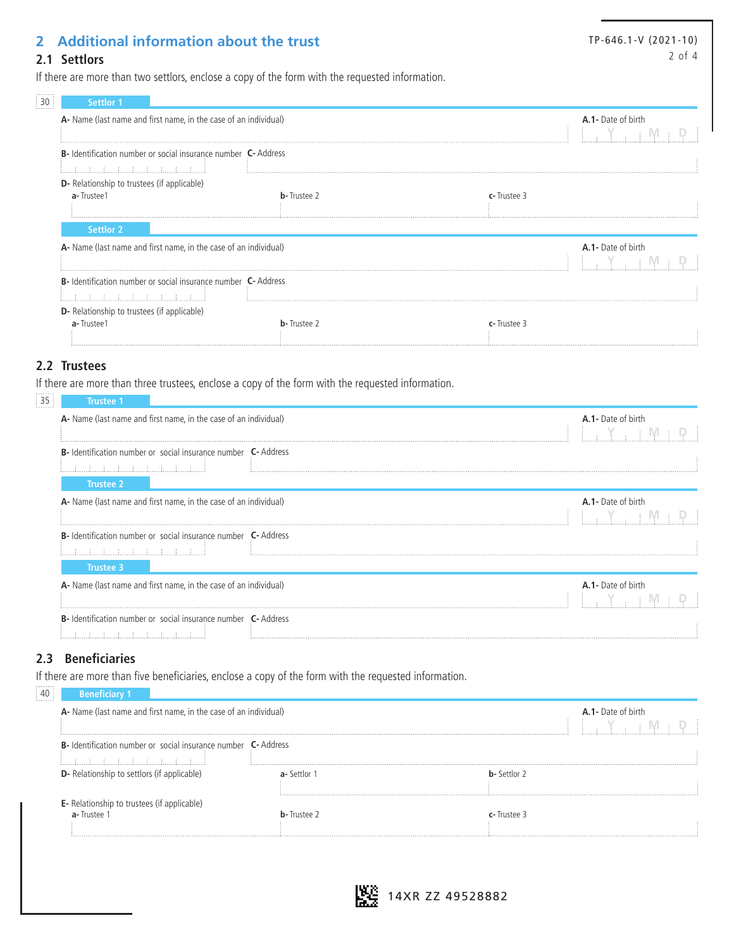## **2 Additional information about the trust**

TP-646.1-V (2021-10) 2 of 4

#### **2.1 Settlors**

If there are more than two settlors, enclose a copy of the form with the requested information.

| <b>Settlor 1</b>                                                      |                     |                    |
|-----------------------------------------------------------------------|---------------------|--------------------|
| A- Name (last name and first name, in the case of an individual)      |                     | A.1- Date of birth |
| <b>B-</b> Identification number or social insurance number C- Address |                     |                    |
|                                                                       |                     |                    |
| <b>D</b> - Relationship to trustees (if applicable)                   |                     |                    |
| a-Trustee1                                                            | <b>b</b> -Trustee 2 | c-Trustee 3        |
| <b>Settlor 2</b>                                                      |                     |                    |
| A- Name (last name and first name, in the case of an individual)      |                     | A.1- Date of birth |
| <b>B-</b> Identification number or social insurance number C- Address |                     |                    |
|                                                                       |                     |                    |
| <b>D</b> - Relationship to trustees (if applicable)                   |                     |                    |
| a-Trustee1                                                            | <b>b</b> -Trustee 2 | c-Trustee 3        |

#### **2.2 Trustees**

If there are more than three trustees, enclose a copy of the form with the requested information.

| <b>Trustee 1</b>                                                             |  |                           |
|------------------------------------------------------------------------------|--|---------------------------|
| A- Name (last name and first name, in the case of an individual)             |  | A.1- Date of birth        |
|                                                                              |  |                           |
| <b>B-</b> Identification number or social insurance number <b>C-</b> Address |  |                           |
|                                                                              |  |                           |
| Trustee 2                                                                    |  |                           |
| A- Name (last name and first name, in the case of an individual)             |  | <b>A.1-</b> Date of birth |
|                                                                              |  |                           |
| <b>B-</b> Identification number or social insurance number <b>C-</b> Address |  |                           |
|                                                                              |  |                           |
| Trustee 3                                                                    |  |                           |
| A- Name (last name and first name, in the case of an individual)             |  | A.1- Date of birth        |
|                                                                              |  |                           |
| <b>B-</b> Identification number or social insurance number <b>C-</b> Address |  |                           |
|                                                                              |  |                           |

#### **2.3 Beneficiaries**

If there are more than five beneficiaries, enclose a copy of the form with the requested information.

| <b>Beneficiary 1</b>                                                                               |                     |                     |                    |
|----------------------------------------------------------------------------------------------------|---------------------|---------------------|--------------------|
| A- Name (last name and first name, in the case of an individual)                                   |                     |                     | A.1- Date of birth |
| <b>B-</b> Identification number or social insurance number <b>C-</b> Address<br>ほうほうほうほうほうほうほうほうほう |                     |                     |                    |
| <b>D</b> - Relationship to settlors (if applicable)                                                | <b>a-</b> Settlor 1 | <b>b</b> -Settlor 2 |                    |
| <b>E</b> - Relationship to trustees (if applicable)<br>a-Trustee                                   | <b>h</b> -Trustee   | <b>r</b> -Trustee   |                    |

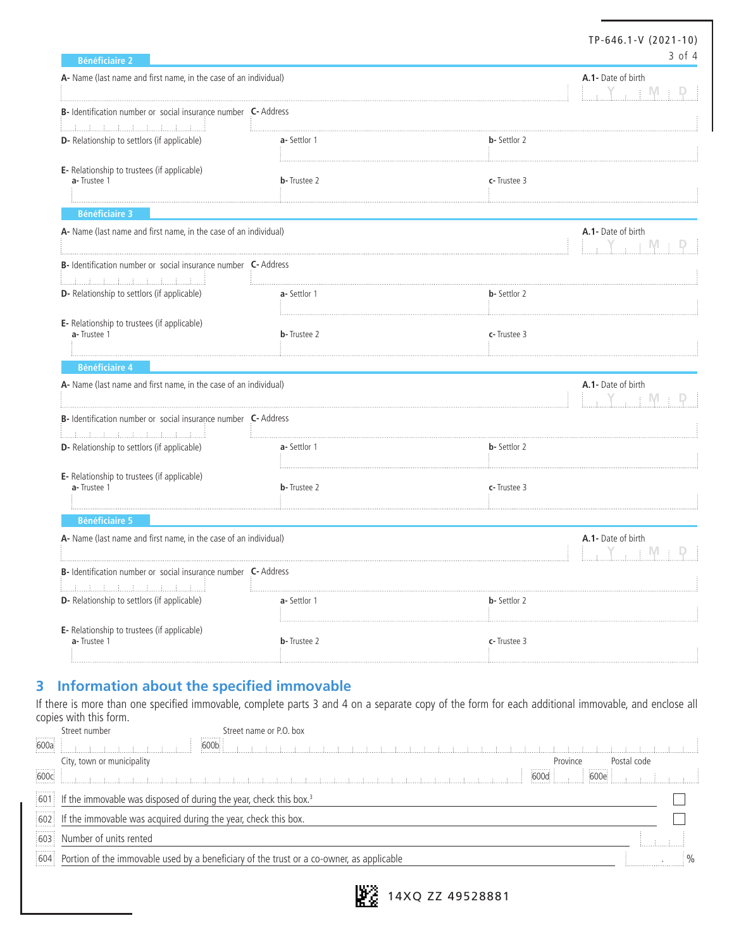| <b>Bénéficiaire 2</b>                                                                                           |                     | TP-646.1-V (2021-10)                                                                | 3 of 4 |
|-----------------------------------------------------------------------------------------------------------------|---------------------|-------------------------------------------------------------------------------------|--------|
| A- Name (last name and first name, in the case of an individual)                                                |                     | A.1- Date of birth<br>$\frac{1}{2}$ , $\frac{1}{2}$ , $\frac{1}{2}$ M $\frac{1}{2}$ |        |
| B- Identification number or social insurance number C- Address                                                  |                     |                                                                                     |        |
| D- Relationship to settlors (if applicable)                                                                     | a-Settlor 1         | <b>b</b> - Settlor 2                                                                |        |
| E- Relationship to trustees (if applicable)<br>a-Trustee 1                                                      | <b>b</b> -Trustee 2 | c-Trustee 3                                                                         |        |
| <b>Bénéficiaire 3</b>                                                                                           |                     |                                                                                     |        |
| A- Name (last name and first name, in the case of an individual)                                                |                     | A.1- Date of birth<br>Y, EM                                                         |        |
| B- Identification number or social insurance number C- Address<br><u> E. A. A. A. A. A. A. A. A. A. A. A. A</u> |                     |                                                                                     |        |
| D- Relationship to settlors (if applicable)                                                                     | a-Settlor 1         | <b>b</b> - Settlor 2                                                                |        |
| E- Relationship to trustees (if applicable)<br>a-Trustee 1                                                      | <b>b</b> -Trustee 2 | c-Trustee 3                                                                         |        |
| <b>Bénéficiaire 4</b>                                                                                           |                     |                                                                                     |        |
| A- Name (last name and first name, in the case of an individual)                                                |                     | A.1- Date of birth<br>- E IVI                                                       |        |
| B- Identification number or social insurance number C- Address<br>أستلسلسا ساسا المساسلة المسادية               |                     |                                                                                     |        |
| D- Relationship to settlors (if applicable)                                                                     | a-Settlor 1         | <b>b</b> - Settlor 2                                                                |        |
| E- Relationship to trustees (if applicable)<br>a-Trustee 1                                                      | <b>b</b> -Trustee 2 | c-Trustee 3                                                                         |        |
| <b>Bénéficiaire 5</b>                                                                                           |                     |                                                                                     |        |
| A- Name (last name and first name, in the case of an individual)                                                |                     | A.1- Date of birth<br>† IVI                                                         |        |
| B-Identification number or social insurance number<br>C- Address                                                |                     |                                                                                     |        |
| D- Relationship to settlors (if applicable)                                                                     | a-Settlor 1         | <b>b-</b> Settlor 2                                                                 |        |
| E- Relationship to trustees (if applicable)<br>a-Trustee 1                                                      | <b>b</b> -Trustee 2 | c-Trustee 3                                                                         |        |

### **3 Information about the specified immovable**

If there is more than one specified immovable, complete parts 3 and 4 on a separate copy of the form for each additional immovable, and enclose all copies with this form.<br>Street number Street name or P.O. box

|      | Street number<br>Street Harne of P.O. DOX                                                        |                  |             |  |
|------|--------------------------------------------------------------------------------------------------|------------------|-------------|--|
| 600a | 600b                                                                                             |                  |             |  |
|      | City, town or municipality                                                                       | Province         | Postal code |  |
| 600c |                                                                                                  | $600e$ .<br>600d |             |  |
|      | $\frac{1}{2}$ 601 If the immovable was disposed of during the year, check this box. <sup>3</sup> |                  |             |  |
|      | 602 If the immovable was acquired during the year, check this box.                               |                  |             |  |
|      | 603 Number of units rented                                                                       |                  |             |  |
|      | 604 Portion of the immovable used by a beneficiary of the trust or a co-owner, as applicable     |                  |             |  |
|      |                                                                                                  |                  |             |  |